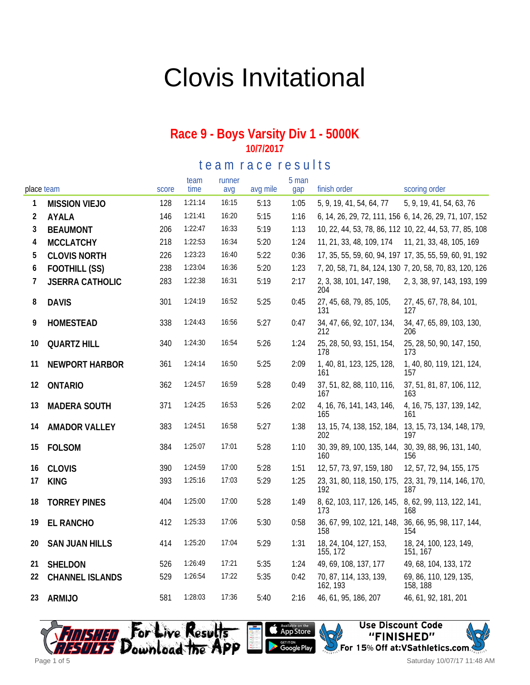# Clovis Invitational

#### **Race 9 - Boys Varsity Div 1 - 5000K 10/7/2017**

te a m r a c e r e sults

| place team |                        | score | team<br>time | runner<br>avq | avg mile | 5 man<br>gap | finish order                                                 | scoring order                                           |
|------------|------------------------|-------|--------------|---------------|----------|--------------|--------------------------------------------------------------|---------------------------------------------------------|
| 1          | <b>MISSION VIEJO</b>   | 128   | 1:21:14      | 16:15         | 5:13     | 1:05         | 5, 9, 19, 41, 54, 64, 77                                     | 5, 9, 19, 41, 54, 63, 76                                |
| 2          | AYALA                  | 146   | 1:21:41      | 16:20         | 5:15     | 1:16         |                                                              | 6, 14, 26, 29, 72, 111, 156 6, 14, 26, 29, 71, 107, 152 |
| 3          | <b>BEAUMONT</b>        | 206   | 1:22:47      | 16:33         | 5:19     | 1:13         |                                                              | 10, 22, 44, 53, 78, 86, 112 10, 22, 44, 53, 77, 85, 108 |
| 4          | <b>MCCLATCHY</b>       | 218   | 1:22:53      | 16:34         | 5:20     | 1:24         | 11, 21, 33, 48, 109, 174                                     | 11, 21, 33, 48, 105, 169                                |
| 5          | <b>CLOVIS NORTH</b>    | 226   | 1:23:23      | 16:40         | 5:22     | 0:36         |                                                              | 17, 35, 55, 59, 60, 94, 197 17, 35, 55, 59, 60, 91, 192 |
| 6          | FOOTHILL (SS)          | 238   | 1:23:04      | 16:36         | 5:20     | 1:23         |                                                              | 7, 20, 58, 71, 84, 124, 130 7, 20, 58, 70, 83, 120, 126 |
| 7          | <b>JSERRA CATHOLIC</b> | 283   | 1:22:38      | 16:31         | 5:19     | 2:17         | 2, 3, 38, 101, 147, 198,<br>204                              | 2, 3, 38, 97, 143, 193, 199                             |
| 8          | <b>DAVIS</b>           | 301   | 1:24:19      | 16:52         | 5:25     | 0:45         | 27, 45, 68, 79, 85, 105,<br>131                              | 27, 45, 67, 78, 84, 101,<br>127                         |
| 9          | HOMESTEAD              | 338   | 1:24:43      | 16:56         | 5:27     | 0:47         | 34, 47, 66, 92, 107, 134,<br>212                             | 34, 47, 65, 89, 103, 130,<br>206                        |
| 10         | <b>QUARTZ HILL</b>     | 340   | 1:24:30      | 16:54         | 5:26     | 1:24         | 25, 28, 50, 93, 151, 154,<br>178                             | 25, 28, 50, 90, 147, 150,<br>173                        |
| 11         | NEWPORT HARBOR         | 361   | 1:24:14      | 16:50         | 5:25     | 2:09         | 1, 40, 81, 123, 125, 128,<br>161                             | 1, 40, 80, 119, 121, 124,<br>157                        |
| 12         | <b>ONTARIO</b>         | 362   | 1:24:57      | 16:59         | 5:28     | 0:49         | 37, 51, 82, 88, 110, 116,<br>167                             | 37, 51, 81, 87, 106, 112,<br>163                        |
| 13         | <b>MADERA SOUTH</b>    | 371   | 1:24:25      | 16:53         | 5:26     | 2:02         | 4, 16, 76, 141, 143, 146,<br>165                             | 4, 16, 75, 137, 139, 142,<br>161                        |
| 14         | <b>AMADOR VALLEY</b>   | 383   | 1:24:51      | 16:58         | 5:27     | 1:38         | 13, 15, 74, 138, 152, 184, 13, 15, 73, 134, 148, 179,<br>202 | 197                                                     |
| 15         | <b>FOLSOM</b>          | 384   | 1:25:07      | 17:01         | 5:28     | 1:10         | 30, 39, 89, 100, 135, 144, 30, 39, 88, 96, 131, 140,<br>160  | 156                                                     |
| 16         | <b>CLOVIS</b>          | 390   | 1:24:59      | 17:00         | 5:28     | 1:51         | 12, 57, 73, 97, 159, 180                                     | 12, 57, 72, 94, 155, 175                                |
| 17         | <b>KING</b>            | 393   | 1:25:16      | 17:03         | 5:29     | 1:25         | 23, 31, 80, 118, 150, 175, 23, 31, 79, 114, 146, 170,<br>192 | 187                                                     |
| 18         | <b>TORREY PINES</b>    | 404   | 1:25:00      | 17:00         | 5:28     | 1:49         | 8, 62, 103, 117, 126, 145, 8, 62, 99, 113, 122, 141,<br>173  | 168                                                     |
| 19         | <b>EL RANCHO</b>       | 412   | 1:25:33      | 17:06         | 5:30     | 0:58         | 36, 67, 99, 102, 121, 148,<br>158                            | 36, 66, 95, 98, 117, 144,<br>154                        |
| 20         | <b>SAN JUAN HILLS</b>  | 414   | 1:25:20      | 17:04         | 5:29     | 1:31         | 18, 24, 104, 127, 153,<br>155, 172                           | 18, 24, 100, 123, 149,<br>151, 167                      |
| 21         | SHELDON                | 526   | 1:26:49      | 17:21         | 5:35     | 1:24         | 49, 69, 108, 137, 177                                        | 49, 68, 104, 133, 172                                   |
| 22         | <b>CHANNEL ISLANDS</b> | 529   | 1:26:54      | 17:22         | 5:35     | 0:42         | 70, 87, 114, 133, 139,<br>162, 193                           | 69, 86, 110, 129, 135,<br>158, 188                      |
| 23         | <b>ARMIJO</b>          | 581   | 1:28:03      | 17:36         | 5:40     | 2:16         | 46, 61, 95, 186, 207                                         | 46, 61, 92, 181, 201                                    |







Saturday 10/07/17 11:48 AM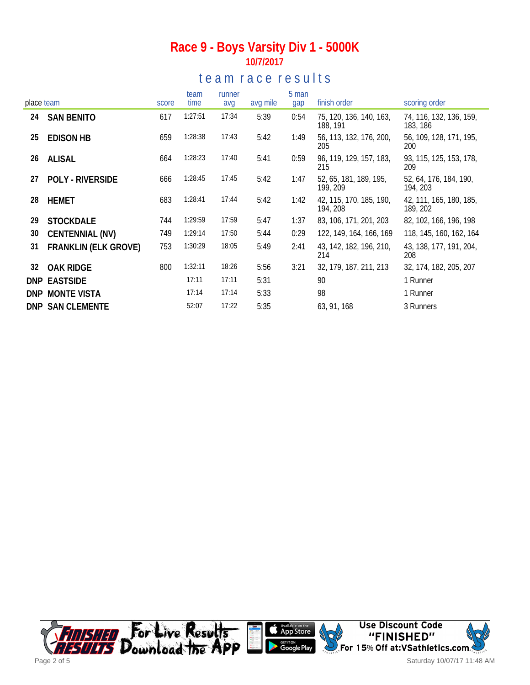### **Race 9 - Boys Varsity Div 1 - 5000K 10/7/2017**

## te a m r a c e r e s ults

| place team |                             | score | team<br>time | runner<br>avg | avg mile | 5 man<br>gap | finish order                        | scoring order                       |
|------------|-----------------------------|-------|--------------|---------------|----------|--------------|-------------------------------------|-------------------------------------|
|            |                             |       |              |               |          |              |                                     |                                     |
| 24         | <b>SAN BENITO</b>           | 617   | 1:27:51      | 17:34         | 5:39     | 0:54         | 75, 120, 136, 140, 163,<br>188, 191 | 74, 116, 132, 136, 159,<br>183, 186 |
| 25         | <b>EDISON HB</b>            | 659   | 1:28:38      | 17:43         | 5:42     | 1:49         | 56, 113, 132, 176, 200,<br>205      | 56, 109, 128, 171, 195,<br>200      |
| 26         | ALISAL                      | 664   | 1:28:23      | 17:40         | 5:41     | 0:59         | 96, 119, 129, 157, 183,<br>215      | 93, 115, 125, 153, 178,<br>209      |
| 27         | <b>POLY - RIVERSIDE</b>     | 666   | 1:28:45      | 17:45         | 5:42     | 1:47         | 52, 65, 181, 189, 195,<br>199, 209  | 52, 64, 176, 184, 190,<br>194, 203  |
| 28         | <b>HEMET</b>                | 683   | 1:28:41      | 17:44         | 5:42     | 1:42         | 42, 115, 170, 185, 190,<br>194, 208 | 42, 111, 165, 180, 185,<br>189, 202 |
| 29         | <b>STOCKDALE</b>            | 744   | 1:29:59      | 17:59         | 5:47     | 1:37         | 83, 106, 171, 201, 203              | 82, 102, 166, 196, 198              |
| 30         | CENTENNIAL (NV)             | 749   | 1:29:14      | 17:50         | 5:44     | 0:29         | 122, 149, 164, 166, 169             | 118, 145, 160, 162, 164             |
| 31         | <b>FRANKLIN (ELK GROVE)</b> | 753   | 1:30:29      | 18:05         | 5:49     | 2:41         | 43, 142, 182, 196, 210,<br>214      | 43, 138, 177, 191, 204,<br>208      |
| 32         | <b>OAK RIDGE</b>            | 800   | 1:32:11      | 18:26         | 5:56     | 3:21         | 32, 179, 187, 211, 213              | 32, 174, 182, 205, 207              |
| DNP        | <b>EASTSIDE</b>             |       | 17:11        | 17:11         | 5:31     |              | 90                                  | 1 Runner                            |
| <b>DNP</b> | <b>MONTE VISTA</b>          |       | 17:14        | 17:14         | 5:33     |              | 98                                  | 1 Runner                            |
|            | <b>DNP SAN CLEMENTE</b>     |       | 52:07        | 17:22         | 5:35     |              | 63, 91, 168                         | 3 Runners                           |

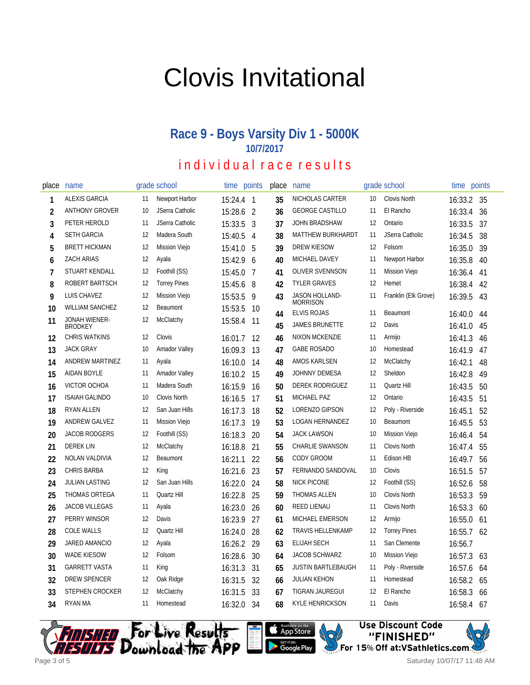# Clovis Invitational

### **Race 9 - Boys Varsity Div 1 - 5000K 10/7/2017**

## individual race results

| place          | name                            |    | grade school         | time      | points         | place | name                           |    | grade school         | time    | points |
|----------------|---------------------------------|----|----------------------|-----------|----------------|-------|--------------------------------|----|----------------------|---------|--------|
| 1              | <b>ALEXIS GARCIA</b>            | 11 | Newport Harbor       | 15:24.4 1 |                | 35    | NICHOLAS CARTER                | 10 | <b>Clovis North</b>  | 16:33.2 | 35     |
| $\overline{2}$ | <b>ANTHONY GROVER</b>           | 10 | JSerra Catholic      | 15:28.6   | $\overline{2}$ | 36    | <b>GEORGE CASTILLO</b>         | 11 | El Rancho            | 16:33.4 | 36     |
| 3              | PETER HEROLD                    | 11 | JSerra Catholic      | 15:33.5   | 3              | 37    | JOHN BRADSHAW                  | 12 | Ontario              | 16:33.5 | 37     |
| 4              | <b>SETH GARCIA</b>              | 12 | Madera South         | 15:40.5   | 4              | 38    | <b>MATTHEW BURKHARDT</b>       | 11 | JSerra Catholic      | 16:34.5 | 38     |
| 5              | <b>BRETT HICKMAN</b>            | 12 | <b>Mission Viejo</b> | 15:41.0   | 5              | 39    | <b>DREW KIESOW</b>             | 12 | Folsom               | 16:35.0 | 39     |
| 6              | <b>ZACH ARIAS</b>               | 12 | Ayala                | 15:42.9   | 6              | 40    | MICHAEL DAVEY                  | 11 | Newport Harbor       | 16:35.8 | 40     |
| $\overline{7}$ | STUART KENDALL                  | 12 | Foothill (SS)        | 15:45.0   | 7              | 41    | <b>OLIVER SVENNSON</b>         | 11 | <b>Mission Viejo</b> | 16:36.4 | 41     |
| 8              | ROBERT BARTSCH                  | 12 | <b>Torrey Pines</b>  | 15:45.6   | 8              | 42    | <b>TYLER GRAVES</b>            | 12 | Hemet                | 16:38.4 | 42     |
| 9              | LUIS CHAVEZ                     | 12 | Mission Viejo        | 15:53.5   | 9              | 43    | JASON HOLLAND-                 | 11 | Franklin (Elk Grove) | 16:39.5 | 43     |
| 10             | <b>WILLIAM SANCHEZ</b>          | 12 | Beaumont             | 15:53.5   | 10             | 44    | Morrison<br><b>ELVIS ROJAS</b> | 11 | Beaumont             | 16:40.0 | 44     |
| 11             | JONAH WIENER-<br><b>BRODKEY</b> | 12 | McClatchy            | 15:58.4   | 11             | 45    | <b>JAMES BRUNETTE</b>          | 12 | Davis                | 16:41.0 | 45     |
| 12             | <b>CHRIS WATKINS</b>            | 12 | Clovis               | 16:01.7   | 12             | 46    | NIXON MCKENZIE                 | 11 | Armijo               | 16:41.3 | 46     |
| 13             | <b>JACK GRAY</b>                | 10 | <b>Amador Valley</b> | 16:09.3   | 13             | 47    | <b>GABE ROSADO</b>             | 10 | Homestead            | 16:41.9 | 47     |
| 14             | <b>ANDREW MARTINEZ</b>          | 11 | Ayala                | 16:10.0   | 14             | 48    | AMOS KARLSEN                   | 12 | McClatchy            | 16:42.1 | 48     |
| 15             | <b>AIDAN BOYLE</b>              | 11 | <b>Amador Valley</b> | 16:10.2   | 15             | 49    | JOHNNY DEMESA                  | 12 | Sheldon              | 16:42.8 | 49     |
| 16             | VICTOR OCHOA                    | 11 | Madera South         | 16:15.9   | 16             | 50    | DEREK RODRIGUEZ                | 11 | Quartz Hill          | 16:43.5 | 50     |
| 17             | <b>ISAIAH GALINDO</b>           | 10 | Clovis North         | 16:16.5   | 17             | 51    | MICHAEL PAZ                    | 12 | Ontario              | 16:43.5 | 51     |
| 18             | RYAN ALLEN                      | 12 | San Juan Hills       | 16:17.3   | 18             | 52    | LORENZO GIPSON                 | 12 | Poly - Riverside     | 16:45.1 | 52     |
| 19             | ANDREW GALVEZ                   | 11 | Mission Viejo        | 16:17.3   | 19             | 53    | <b>LOGAN HERNANDEZ</b>         | 10 | Beaumont             | 16:45.5 | 53     |
| 20             | <b>JACOB RODGERS</b>            | 12 | Foothill (SS)        | 16:18.3   | 20             | 54    | <b>JACK LAWSON</b>             | 10 | <b>Mission Viejo</b> | 16:46.4 | 54     |
| 21             | <b>DEREK LIN</b>                | 12 | McClatchy            | 16:18.8   | 21             | 55    | <b>CHARLIE SWANSON</b>         | 11 | Clovis North         | 16:47.4 | 55     |
| 22             | NOLAN VALDIVIA                  | 12 | Beaumont             | 16:21.1   | 22             | 56    | CODY GROOM                     | 11 | Edison HB            | 16:49.7 | 56     |
| 23             | <b>CHRIS BARBA</b>              | 12 | King                 | 16:21.6   | 23             | 57    | FERNANDO SANDOVAL              | 10 | Clovis               | 16:51.5 | 57     |
| 24             | <b>JULIAN LASTING</b>           | 12 | San Juan Hills       | 16:22.0   | 24             | 58    | <b>NICK PICONE</b>             | 12 | Foothill (SS)        | 16:52.6 | 58     |
| 25             | THOMAS ORTEGA                   | 11 | Quartz Hill          | 16:22.8   | 25             | 59    | THOMAS ALLEN                   | 10 | Clovis North         | 16:53.3 | 59     |
| 26             | <b>JACOB VILLEGAS</b>           | 11 | Ayala                | 16:23.0   | 26             | 60    | REED LIENAU                    | 11 | Clovis North         | 16:53.3 | 60     |
| 27             | PERRY WINSOR                    | 12 | Davis                | 16:23.9   | 27             | 61    | MICHAEL EMERSON                | 12 | Armijo               | 16:55.0 | 61     |
| 28             | <b>COLE WALLS</b>               | 12 | Quartz Hill          | 16:24.0   | 28             | 62    | <b>TRAVIS HELLENKAMP</b>       | 12 | <b>Torrey Pines</b>  | 16:55.7 | 62     |
| 29             | JARED AMANCIO                   | 12 | Ayala                | 16:26.2   | 29             | 63    | <b>ELIJAH SECH</b>             | 11 | San Clemente         | 16:56.7 |        |
| 30             | WADE KIESOW                     | 12 | Folsom               | 16:28.6   | 30             | 64    | <b>JACOB SCHWARZ</b>           | 10 | <b>Mission Viejo</b> | 16:57.3 | 63     |
| 31             | <b>GARRETT VASTA</b>            | 11 | King                 | 16:31.3   | 31             | 65    | <b>JUSTIN BARTLEBAUGH</b>      | 11 | Poly - Riverside     | 16:57.6 | 64     |
| 32             | DREW SPENCER                    | 12 | Oak Ridge            | 16:31.5   | 32             | 66    | <b>JULIAN KEHON</b>            | 11 | Homestead            | 16:58.2 | 65     |
| 33             | <b>STEPHEN CROCKER</b>          | 12 | McClatchy            | 16:31.5   | 33             | 67    | TIGRAN JAUREGUI                | 12 | El Rancho            | 16:58.3 | 66     |
| 34             | RYAN MA                         | 11 | Homestead            | 16:32.0   | 34             | 68    | <b>KYLE HENRICKSON</b>         | 11 | Davis                | 16:58.4 | 67     |





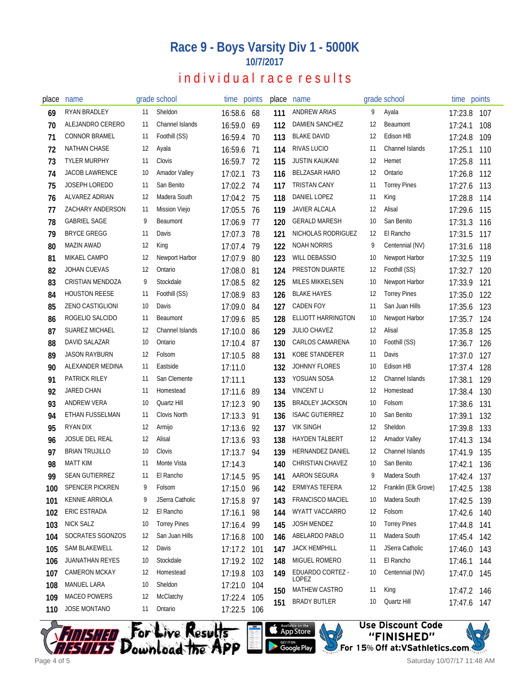#### **Race 9 - Boys Varsity Div 1 - 5000K 10/7/2017**

## individual race results

| place | name                    |    | grade school         | time points |     | place | name                    |    | grade school         | time points |     |
|-------|-------------------------|----|----------------------|-------------|-----|-------|-------------------------|----|----------------------|-------------|-----|
| 69    | RYAN BRADLEY            | 11 | Sheldon              | 16:58.6 68  |     | 111   | ANDREW ARIAS            | 9  | Ayala                | 17:23.8     | 107 |
| 70    | ALEJANDRO CERERO        | 11 | Channel Islands      | 16:59.0     | 69  | 112   | <b>DAMIEN SANCHEZ</b>   | 12 | Beaumont             | 17:24.1     | 108 |
| 71    | <b>CONNOR BRAMEL</b>    | 11 | Foothill (SS)        | 16:59.4     | -70 | 113   | <b>BLAKE DAVID</b>      | 12 | Edison HB            | 17:24.8     | 109 |
| 72    | NATHAN CHASE            | 12 | Ayala                | 16:59.6     | -71 | 114   | RIVAS LUCIO             | 11 | Channel Islands      | 17:25.1     | 110 |
| 73    | <b>TYLER MURPHY</b>     | 11 | Clovis               | 16:59.7     | 72  | 115   | <b>JUSTIN KAUKANI</b>   | 12 | Hemet                | 17:25.8     | 111 |
| 74    | <b>JACOB LAWRENCE</b>   | 10 | <b>Amador Valley</b> | 17:02.1     | 73  | 116   | <b>BELZASAR HARO</b>    | 12 | Ontario              | 17:26.8     | 112 |
| 75    | JOSEPH LOREDO           | 11 | San Benito           | 17:02.2     | 74  | 117   | TRISTAN CANY            | 11 | <b>Torrey Pines</b>  | 17:27.6     | 113 |
| 76    | ALVAREZ ADRIAN          | 12 | Madera South         | 17:04.2     | 75  | 118   | DANIEL LOPEZ            | 11 | King                 | 17:28.8     | 114 |
| 77    | <b>ZACHARY ANDERSON</b> | 11 | <b>Mission Viejo</b> | 17:05.5     | 76  | 119   | <b>JAVIER ALCALA</b>    | 12 | Alisal               | 17:29.6     | 115 |
| 78    | <b>GABRIEL SAGE</b>     | 9  | Beaumont             | 17:06.9     | 77  | 120   | <b>GERALD MARESH</b>    | 10 | San Benito           | 17:31.3     | 116 |
| 79    | <b>BRYCE GREGG</b>      | 11 | Davis                | 17:07.3     | 78  | 121   | NICHOLAS RODRIGUEZ      | 12 | El Rancho            | 17:31.5     | 117 |
| 80    | MAZIN AWAD              | 12 | King                 | 17:07.4     | 79  | 122   | <b>NOAH NORRIS</b>      | 9  | Centennial (NV)      | 17:31.6     | 118 |
| 81    | MIKAEL CAMPO            | 12 | Newport Harbor       | 17:07.9     | 80  | 123   | <b>WILL DEBASSIO</b>    | 10 | Newport Harbor       | 17:32.5     | 119 |
| 82    | <b>JOHAN CUEVAS</b>     | 12 | Ontario              | 17:08.0     | -81 | 124   | PRESTON DUARTE          | 12 | Foothill (SS)        | 17:32.7     | 120 |
| 83    | <b>CRISTIAN MENDOZA</b> | 9  | Stockdale            | 17:08.5     | 82  | 125   | <b>MILES MIKKELSEN</b>  | 10 | Newport Harbor       | 17:33.9     | 121 |
| 84    | <b>HOUSTON REESE</b>    | 11 | Foothill (SS)        | 17:08.9     | 83  | 126   | <b>BLAKE HAYES</b>      | 12 | <b>Torrey Pines</b>  | 17:35.0     | 122 |
| 85    | <b>ZENO CASTIGLIONI</b> | 10 | Davis                | 17:09.0     | 84  | 127   | <b>CADEN FOY</b>        | 11 | San Juan Hills       | 17:35.6     | 123 |
| 86    | ROGELIO SALCIDO         | 11 | Beaumont             | 17:09.6     | 85  | 128   | ELLIOTT HARRINGTON      | 10 | Newport Harbor       | 17:35.7     | 124 |
| 87    | SUAREZ MICHAEL          | 12 | Channel Islands      | 17:10.0     | 86  | 129   | <b>JULIO CHAVEZ</b>     | 12 | Alisal               | 17:35.8     | 125 |
| 88    | DAVID SALAZAR           | 10 | Ontario              | 17:10.4     | 87  | 130   | CARLOS CAMARENA         | 10 | Foothill (SS)        | 17:36.7     | 126 |
| 89    | JASON RAYBURN           | 12 | Folsom               | 17:10.5     | 88  | 131   | KOBE STANDEFER          | 11 | Davis                | 17:37.0     | 127 |
| 90    | ALEXANDER MEDINA        | 11 | Eastside             | 17:11.0     |     | 132   | JOHNNY FLORES           | 10 | Edison HB            | 17:37.4     | 128 |
| 91    | PATRICK RILEY           | 11 | San Clemente         | 17:11.1     |     | 133   | YOSUAN SOSA             | 12 | Channel Islands      | 17:38.1     | 129 |
| 92    | <b>JARED CHAN</b>       | 11 | Homestead            | 17:11.6     | 89  | 134   | <b>VINCENT LI</b>       | 12 | Homestead            | 17:38.4     | 130 |
| 93    | <b>ANDREW VERA</b>      | 10 | Quartz Hill          | 17:12.3     | 90  | 135   | <b>BRADLEY JACKSON</b>  | 10 | Folsom               | 17:38.6     | 131 |
| 94    | ETHAN FUSSELMAN         | 11 | Clovis North         | 17:13.3     | -91 | 136   | <b>ISAAC GUTIERREZ</b>  | 10 | San Benito           | 17:39.1     | 132 |
| 95    | <b>RYAN DIX</b>         | 12 | Armijo               | 17:13.6     | 92  | 137   | <b>VIK SINGH</b>        | 12 | Sheldon              | 17:39.8     | 133 |
| 96    | JOSUE DEL REAL          | 12 | Alisal               | 17:13.6 93  |     | 138   | <b>HAYDEN TALBERT</b>   | 12 | <b>Amador Valley</b> | 17:41.3     | 134 |
| 97    | <b>BRIAN TRUJILLO</b>   | 10 | Clovis               | 17:13.7     | -94 | 139   | HERNANDEZ DANIEL        | 12 | Channel Islands      | 17:41.9     | 135 |
| 98    | <b>MATT KIM</b>         | 11 | Monte Vista          | 17:14.3     |     | 140   | <b>CHRISTIAN CHAVEZ</b> | 10 | San Benito           | 17:42.1     | 136 |
| 99    | <b>SEAN GUTIERREZ</b>   | 11 | El Rancho            | 17:14.5 95  |     | 141   | AARON SEGURA            | 9  | Madera South         | 17:42.4 137 |     |
| 100   | SPENCER PICKREN         | 9  | Folsom               | 17:15.0 96  |     | 142   | ERMIYAS TEFERA          | 12 | Franklin (Elk Grove) | 17:42.5     | 138 |
| 101   | <b>KENNIE ARRIOLA</b>   | 9  | JSerra Catholic      | 17:15.8     | 97  | 143   | <b>FRANCISCO MACIEL</b> | 10 | Madera South         | 17:42.5     | 139 |
| 102   | ERIC ESTRADA            | 12 | El Rancho            | 17:16.1     | 98  | 144   | WYATT VACCARRO          | 12 | Folsom               | 17:42.6     | 140 |
| 103   | <b>NICK SALZ</b>        | 10 | <b>Torrey Pines</b>  | 17:16.4     | 99  | 145   | JOSH MENDEZ             | 10 | <b>Torrey Pines</b>  | 17:44.8     | 141 |
| 104   | SOCRATES SGONZOS        | 12 | San Juan Hills       | 17:16.8     | 100 | 146   | ABELARDO PABLO          | 11 | Madera South         | 17:45.4     | 142 |
| 105   | SAM BLAKEWELL           | 12 | Davis                | 17:17.2     | 101 | 147   | <b>JACK HEMPHILL</b>    | 11 | JSerra Catholic      | 17:46.0     | 143 |
| 106   | <b>JUANATHAN REYES</b>  | 10 | Stockdale            | 17:19.2     | 102 | 148   | MIGUEL ROMERO           | 11 | El Rancho            | 17:46.1     | 144 |
| 107   | <b>CAMERON MCKAY</b>    | 12 | Homestead            | 17:19.8     | 103 | 149   | EDUARDO CORTEZ -        | 10 | Centennial (NV)      | 17:47.0     | 145 |
| 108   | MANUEL LARA             | 10 | Sheldon              | 17:21.0 104 |     |       | LOPEZ<br>MATHEW CASTRO  | 11 | King                 |             |     |
| 109   | MACEO POWERS            | 12 | McClatchy            | 17:22.4     | 105 | 150   | <b>BRADY BUTLER</b>     | 10 | Quartz Hill          | 17:47.2 146 |     |
| 110   | <b>JOSE MONTANO</b>     | 11 | Ontario              | 17:22.5 106 |     | 151   |                         |    |                      | 17:47.6     | 147 |